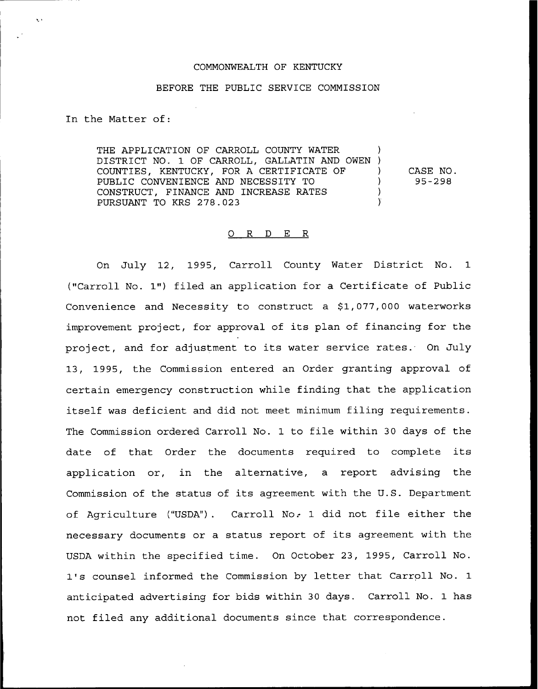## COMMONWEALTH OF KENTUCKY

## BEFORE THE PUBLIC SERVICE COMMISSION

In the Matter of:

THE APPLICATION OF CARROLL COUNTY WATER DISTRICT NO. 1 OF CARROLL, GALLATIN AND OWEN ) COUNTIES, KENTUCKY, FOR A CERTIFICATE OF PUBLIC CONVENIENCE AND NECESSITY TO CONSTRUCT, FINANCE AND INCREASE RATES PURSUANT TO KRS 278.023 ) ) )

) CASE NO. ) 95-298

## 0 <sup>R</sup> <sup>D</sup> E R

On July 12, 1995, Carroll County Water District No. 1 ("Carroll No. 1") filed an application for a Certificate of Public Convenience and Necessity to construct a \$1,077,000 waterworks improvement project, for approval of its plan of financing for the project, and for adjustment to its water service rates. On July 13, 1995, the Commission entered an Order granting approval of certain emergency construction while finding that the application itself was deficient and did not meet minimum filing requirements. The Commission ordered Carroll No. 1 to file within 30 days of the date of that Order the documents required to complete its application or, in the alternative, a report advising the Commission of the status of its agreement with the U.S. Department of Agriculture ("USDA"). Carroll No. 1 did not file either the necessary documents or a status report of its agreement with the USDA within the specified time. On October 23, 1995, Carroll No. 1's counsel informed the Commission by letter that Carroll No. 1 anticipated advertising for bids within 30 days. Carroll No. 1 has not filed any additional documents since that correspondence.